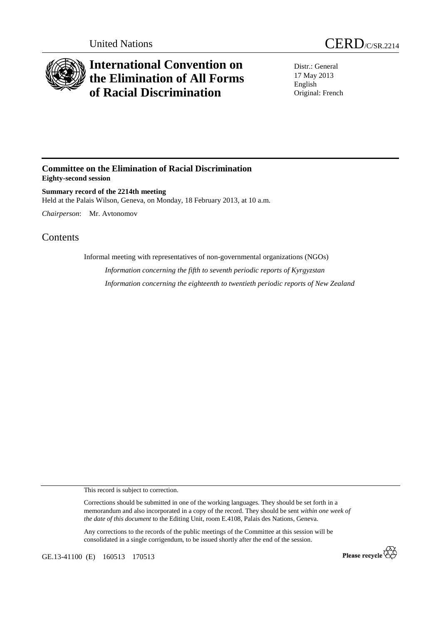



## **International Convention on the Elimination of All Forms of Racial Discrimination**

Distr.: General 17 May 2013 English Original: French

## **Committee on the Elimination of Racial Discrimination Eighty-second session**

**Summary record of the 2214th meeting**  Held at the Palais Wilson, Geneva, on Monday, 18 February 2013, at 10 a.m.

*Chairperson*: Mr. Avtonomov

## **Contents**

Informal meeting with representatives of non-governmental organizations (NGOs) *Information concerning the fifth to seventh periodic reports of Kyrgyzstan* 

*Information concerning the eighteenth to twentieth periodic reports of New Zealand* 

This record is subject to correction.

Corrections should be submitted in one of the working languages. They should be set forth in a memorandum and also incorporated in a copy of the record. They should be sent *within one week of the date of this document* to the Editing Unit, room E.4108, Palais des Nations, Geneva.

Any corrections to the records of the public meetings of the Committee at this session will be consolidated in a single corrigendum, to be issued shortly after the end of the session.

GE.13-41100 (E) 160513 170513

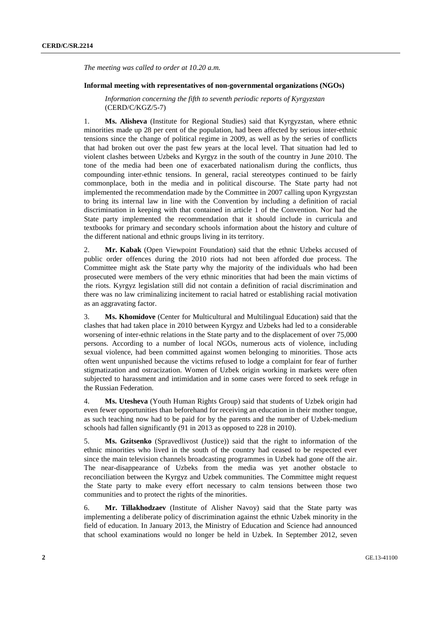*The meeting was called to order at 10.20 a.m.* 

## **Informal meeting with representatives of non-governmental organizations (NGOs)**

*Information concerning the fifth to seventh periodic reports of Kyrgyzstan* (CERD/C/KGZ/5-7)

1. **Ms. Alisheva** (Institute for Regional Studies) said that Kyrgyzstan, where ethnic minorities made up 28 per cent of the population, had been affected by serious inter-ethnic tensions since the change of political regime in 2009, as well as by the series of conflicts that had broken out over the past few years at the local level. That situation had led to violent clashes between Uzbeks and Kyrgyz in the south of the country in June 2010. The tone of the media had been one of exacerbated nationalism during the conflicts, thus compounding inter-ethnic tensions. In general, racial stereotypes continued to be fairly commonplace, both in the media and in political discourse. The State party had not implemented the recommendation made by the Committee in 2007 calling upon Kyrgyzstan to bring its internal law in line with the Convention by including a definition of racial discrimination in keeping with that contained in article 1 of the Convention. Nor had the State party implemented the recommendation that it should include in curricula and textbooks for primary and secondary schools information about the history and culture of the different national and ethnic groups living in its territory.

2. **Mr. Kabak** (Open Viewpoint Foundation) said that the ethnic Uzbeks accused of public order offences during the 2010 riots had not been afforded due process. The Committee might ask the State party why the majority of the individuals who had been prosecuted were members of the very ethnic minorities that had been the main victims of the riots. Kyrgyz legislation still did not contain a definition of racial discrimination and there was no law criminalizing incitement to racial hatred or establishing racial motivation as an aggravating factor.

3. **Ms. Khomidove** (Center for Multicultural and Multilingual Education) said that the clashes that had taken place in 2010 between Kyrgyz and Uzbeks had led to a considerable worsening of inter-ethnic relations in the State party and to the displacement of over 75,000 persons. According to a number of local NGOs, numerous acts of violence, including sexual violence, had been committed against women belonging to minorities. Those acts often went unpunished because the victims refused to lodge a complaint for fear of further stigmatization and ostracization. Women of Uzbek origin working in markets were often subjected to harassment and intimidation and in some cases were forced to seek refuge in the Russian Federation.

4. **Ms. Utesheva** (Youth Human Rights Group) said that students of Uzbek origin had even fewer opportunities than beforehand for receiving an education in their mother tongue, as such teaching now had to be paid for by the parents and the number of Uzbek-medium schools had fallen significantly (91 in 2013 as opposed to 228 in 2010).

5. **Ms. Gzitsenko** (Spravedlivost (Justice)) said that the right to information of the ethnic minorities who lived in the south of the country had ceased to be respected ever since the main television channels broadcasting programmes in Uzbek had gone off the air. The near-disappearance of Uzbeks from the media was yet another obstacle to reconciliation between the Kyrgyz and Uzbek communities. The Committee might request the State party to make every effort necessary to calm tensions between those two communities and to protect the rights of the minorities.

6. **Mr. Tillakhodzaev** (Institute of Alisher Navoy) said that the State party was implementing a deliberate policy of discrimination against the ethnic Uzbek minority in the field of education. In January 2013, the Ministry of Education and Science had announced that school examinations would no longer be held in Uzbek. In September 2012, seven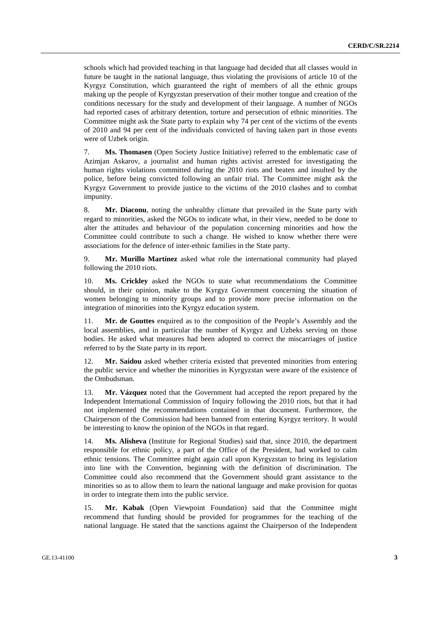schools which had provided teaching in that language had decided that all classes would in future be taught in the national language, thus violating the provisions of article 10 of the Kyrgyz Constitution, which guaranteed the right of members of all the ethnic groups making up the people of Kyrgyzstan preservation of their mother tongue and creation of the conditions necessary for the study and development of their language. A number of NGOs had reported cases of arbitrary detention, torture and persecution of ethnic minorities. The Committee might ask the State party to explain why 74 per cent of the victims of the events of 2010 and 94 per cent of the individuals convicted of having taken part in those events were of Uzbek origin.

7. **Ms. Thomasen** (Open Society Justice Initiative) referred to the emblematic case of Azimjan Askarov, a journalist and human rights activist arrested for investigating the human rights violations committed during the 2010 riots and beaten and insulted by the police, before being convicted following an unfair trial. The Committee might ask the Kyrgyz Government to provide justice to the victims of the 2010 clashes and to combat impunity.

8. **Mr. Diaconu**, noting the unhealthy climate that prevailed in the State party with regard to minorities, asked the NGOs to indicate what, in their view, needed to be done to alter the attitudes and behaviour of the population concerning minorities and how the Committee could contribute to such a change. He wished to know whether there were associations for the defence of inter-ethnic families in the State party.

9. **Mr. Murillo Martínez** asked what role the international community had played following the 2010 riots.

10. **Ms. Crickley** asked the NGOs to state what recommendations the Committee should, in their opinion, make to the Kyrgyz Government concerning the situation of women belonging to minority groups and to provide more precise information on the integration of minorities into the Kyrgyz education system.

11. **Mr. de Gouttes** enquired as to the composition of the People's Assembly and the local assemblies, and in particular the number of Kyrgyz and Uzbeks serving on those bodies. He asked what measures had been adopted to correct the miscarriages of justice referred to by the State party in its report.

12. **Mr. Saidou** asked whether criteria existed that prevented minorities from entering the public service and whether the minorities in Kyrgyzstan were aware of the existence of the Ombudsman.

13. **Mr. Vázquez** noted that the Government had accepted the report prepared by the Independent International Commission of Inquiry following the 2010 riots, but that it had not implemented the recommendations contained in that document. Furthermore, the Chairperson of the Commission had been banned from entering Kyrgyz territory. It would be interesting to know the opinion of the NGOs in that regard.

14. **Ms. Alisheva** (Institute for Regional Studies) said that, since 2010, the department responsible for ethnic policy, a part of the Office of the President, had worked to calm ethnic tensions. The Committee might again call upon Kyrgyzstan to bring its legislation into line with the Convention, beginning with the definition of discrimination. The Committee could also recommend that the Government should grant assistance to the minorities so as to allow them to learn the national language and make provision for quotas in order to integrate them into the public service.

15. **Mr. Kabak** (Open Viewpoint Foundation) said that the Committee might recommend that funding should be provided for programmes for the teaching of the national language. He stated that the sanctions against the Chairperson of the Independent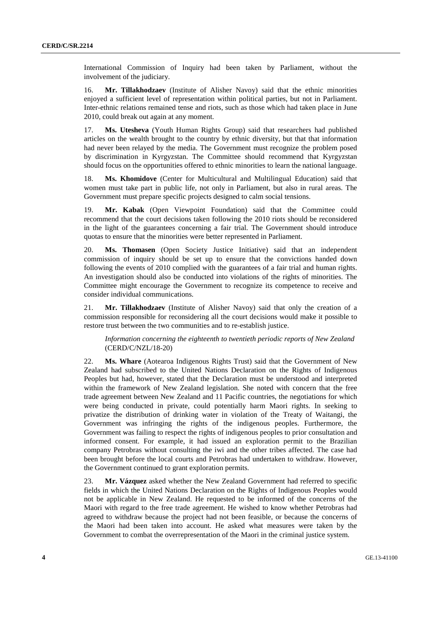International Commission of Inquiry had been taken by Parliament, without the involvement of the judiciary.

16. **Mr. Tillakhodzaev** (Institute of Alisher Navoy) said that the ethnic minorities enjoyed a sufficient level of representation within political parties, but not in Parliament. Inter-ethnic relations remained tense and riots, such as those which had taken place in June 2010, could break out again at any moment.

17. **Ms. Utesheva** (Youth Human Rights Group) said that researchers had published articles on the wealth brought to the country by ethnic diversity, but that that information had never been relayed by the media. The Government must recognize the problem posed by discrimination in Kyrgyzstan. The Committee should recommend that Kyrgyzstan should focus on the opportunities offered to ethnic minorities to learn the national language.

18. **Ms. Khomidove** (Center for Multicultural and Multilingual Education) said that women must take part in public life, not only in Parliament, but also in rural areas. The Government must prepare specific projects designed to calm social tensions.

19. **Mr. Kabak** (Open Viewpoint Foundation) said that the Committee could recommend that the court decisions taken following the 2010 riots should be reconsidered in the light of the guarantees concerning a fair trial. The Government should introduce quotas to ensure that the minorities were better represented in Parliament.

20. **Ms. Thomasen** (Open Society Justice Initiative) said that an independent commission of inquiry should be set up to ensure that the convictions handed down following the events of 2010 complied with the guarantees of a fair trial and human rights. An investigation should also be conducted into violations of the rights of minorities. The Committee might encourage the Government to recognize its competence to receive and consider individual communications.

21. **Mr. Tillakhodzaev** (Institute of Alisher Navoy) said that only the creation of a commission responsible for reconsidering all the court decisions would make it possible to restore trust between the two communities and to re-establish justice.

*Information concerning the eighteenth to twentieth periodic reports of New Zealand* (CERD/C/NZL/18-20)

22. **Ms. Whare** (Aotearoa Indigenous Rights Trust) said that the Government of New Zealand had subscribed to the United Nations Declaration on the Rights of Indigenous Peoples but had, however, stated that the Declaration must be understood and interpreted within the framework of New Zealand legislation. She noted with concern that the free trade agreement between New Zealand and 11 Pacific countries, the negotiations for which were being conducted in private, could potentially harm Maori rights. In seeking to privatize the distribution of drinking water in violation of the Treaty of Waitangi, the Government was infringing the rights of the indigenous peoples. Furthermore, the Government was failing to respect the rights of indigenous peoples to prior consultation and informed consent. For example, it had issued an exploration permit to the Brazilian company Petrobras without consulting the iwi and the other tribes affected. The case had been brought before the local courts and Petrobras had undertaken to withdraw. However, the Government continued to grant exploration permits.

23. **Mr. Vázquez** asked whether the New Zealand Government had referred to specific fields in which the United Nations Declaration on the Rights of Indigenous Peoples would not be applicable in New Zealand. He requested to be informed of the concerns of the Maori with regard to the free trade agreement. He wished to know whether Petrobras had agreed to withdraw because the project had not been feasible, or because the concerns of the Maori had been taken into account. He asked what measures were taken by the Government to combat the overrepresentation of the Maori in the criminal justice system.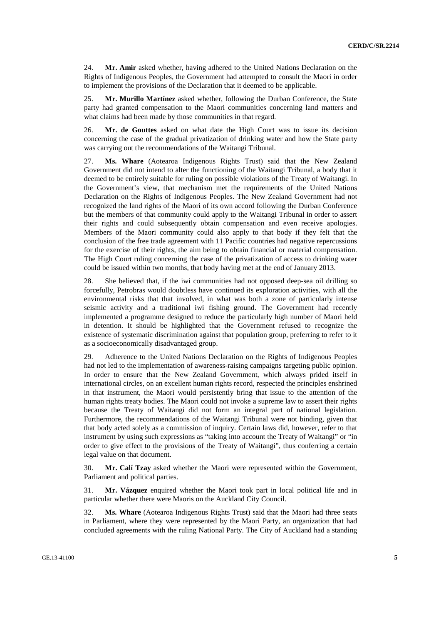24. **Mr. Amir** asked whether, having adhered to the United Nations Declaration on the Rights of Indigenous Peoples, the Government had attempted to consult the Maori in order to implement the provisions of the Declaration that it deemed to be applicable.

25. **Mr. Murillo Martínez** asked whether, following the Durban Conference, the State party had granted compensation to the Maori communities concerning land matters and what claims had been made by those communities in that regard.

26. **Mr. de Gouttes** asked on what date the High Court was to issue its decision concerning the case of the gradual privatization of drinking water and how the State party was carrying out the recommendations of the Waitangi Tribunal.

27. **Ms. Whare** (Aotearoa Indigenous Rights Trust) said that the New Zealand Government did not intend to alter the functioning of the Waitangi Tribunal, a body that it deemed to be entirely suitable for ruling on possible violations of the Treaty of Waitangi. In the Government's view, that mechanism met the requirements of the United Nations Declaration on the Rights of Indigenous Peoples. The New Zealand Government had not recognized the land rights of the Maori of its own accord following the Durban Conference but the members of that community could apply to the Waitangi Tribunal in order to assert their rights and could subsequently obtain compensation and even receive apologies. Members of the Maori community could also apply to that body if they felt that the conclusion of the free trade agreement with 11 Pacific countries had negative repercussions for the exercise of their rights, the aim being to obtain financial or material compensation. The High Court ruling concerning the case of the privatization of access to drinking water could be issued within two months, that body having met at the end of January 2013.

28. She believed that, if the iwi communities had not opposed deep-sea oil drilling so forcefully, Petrobras would doubtless have continued its exploration activities, with all the environmental risks that that involved, in what was both a zone of particularly intense seismic activity and a traditional iwi fishing ground. The Government had recently implemented a programme designed to reduce the particularly high number of Maori held in detention. It should be highlighted that the Government refused to recognize the existence of systematic discrimination against that population group, preferring to refer to it as a socioeconomically disadvantaged group.

29. Adherence to the United Nations Declaration on the Rights of Indigenous Peoples had not led to the implementation of awareness-raising campaigns targeting public opinion. In order to ensure that the New Zealand Government, which always prided itself in international circles, on an excellent human rights record, respected the principles enshrined in that instrument, the Maori would persistently bring that issue to the attention of the human rights treaty bodies. The Maori could not invoke a supreme law to assert their rights because the Treaty of Waitangi did not form an integral part of national legislation. Furthermore, the recommendations of the Waitangi Tribunal were not binding, given that that body acted solely as a commission of inquiry. Certain laws did, however, refer to that instrument by using such expressions as "taking into account the Treaty of Waitangi" or "in order to give effect to the provisions of the Treaty of Waitangi", thus conferring a certain legal value on that document.

30. **Mr. Calí Tzay** asked whether the Maori were represented within the Government, Parliament and political parties.

31. **Mr. Vázquez** enquired whether the Maori took part in local political life and in particular whether there were Maoris on the Auckland City Council.

32. **Ms. Whare** (Aotearoa Indigenous Rights Trust) said that the Maori had three seats in Parliament, where they were represented by the Maori Party, an organization that had concluded agreements with the ruling National Party. The City of Auckland had a standing